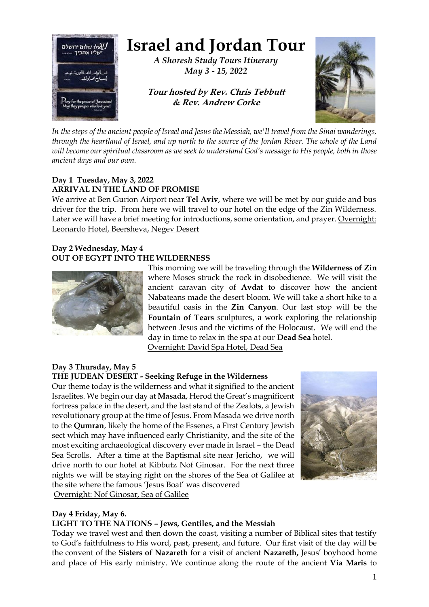

# **Israel and Jordan Tour**

*A Shoresh Study Tours Itinerary May 3 - 15, 2022*

# **Tour hosted by Rev. Chris Tebbutt & Rev. Andrew Corke**



*In the steps of the ancient people of Israel and Jesus the Messiah, we'll travel from the Sinai wanderings, through the heartland of Israel, and up north to the source of the Jordan River. The whole of the Land will become our spiritual classroom as we seek to understand God's message to His people, both in those ancient days and our own.*

# **Day 1 Tuesday, May 3, 2022 ARRIVAL IN THE LAND OF PROMISE**

We arrive at Ben Gurion Airport near **Tel Aviv**, where we will be met by our guide and bus driver for the trip. From here we will travel to our hotel on the edge of the Zin Wilderness. Later we will have a brief meeting for introductions, some orientation, and prayer. Overnight: Leonardo Hotel, Beersheva, Negev Desert

## **Day 2 Wednesday, May 4 OUT OF EGYPT INTO THE WILDERNESS**



This morning we will be traveling through the **Wilderness of Zin** where Moses struck the rock in disobedience. We will visit the ancient caravan city of **Avdat** to discover how the ancient Nabateans made the desert bloom. We will take a short hike to a beautiful oasis in the **Zin Canyon**. Our last stop will be the **Fountain of Tears** sculptures, a work exploring the relationship between Jesus and the victims of the Holocaust. We will end the day in time to relax in the spa at our **Dead Sea** hotel. Overnight: David Spa Hotel, Dead Sea

## **Day 3 Thursday, May 5 THE JUDEAN DESERT - Seeking Refuge in the Wilderness**

Our theme today is the wilderness and what it signified to the ancient Israelites. We begin our day at **Masada**, Herod the Great's magnificent fortress palace in the desert, and the last stand of the Zealots, a Jewish revolutionary group at the time of Jesus. From Masada we drive north to the **Qumran**, likely the home of the Essenes, a First Century Jewish sect which may have influenced early Christianity, and the site of the most exciting archaeological discovery ever made in Israel – the Dead Sea Scrolls. After a time at the Baptismal site near Jericho, we will drive north to our hotel at Kibbutz Nof Ginosar. For the next three nights we will be staying right on the shores of the Sea of Galilee at the site where the famous 'Jesus Boat' was discovered Overnight: Nof Ginosar, Sea of Galilee



# **Day 4 Friday, May 6.**

# **LIGHT TO THE NATIONS – Jews, Gentiles, and the Messiah**

Today we travel west and then down the coast, visiting a number of Biblical sites that testify to God's faithfulness to His word, past, present, and future.Our first visit of the day will be the convent of the **Sisters of Nazareth** for a visit of ancient **Nazareth,** Jesus' boyhood home and place of His early ministry. We continue along the route of the ancient **Via Maris** to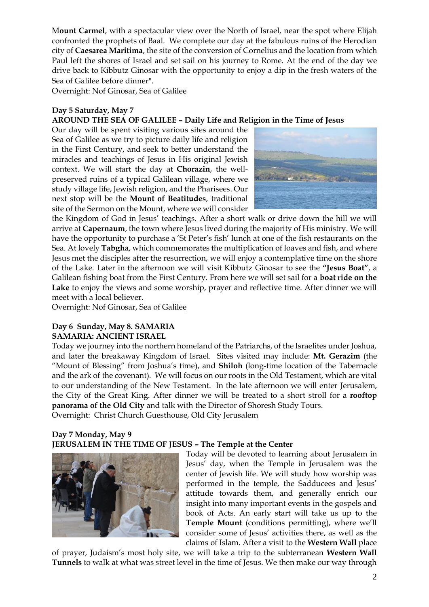M**ount Carmel**, with a spectacular view over the North of Israel, near the spot where Elijah confronted the prophets of Baal.We complete our day at the fabulous ruins of the Herodian city of **Caesarea Maritima**, the site of the conversion of Cornelius and the location from which Paul left the shores of Israel and set sail on his journey to Rome. At the end of the day we drive back to Kibbutz Ginosar with the opportunity to enjoy a dip in the fresh waters of the Sea of Galilee before dinner".

Overnight: Nof Ginosar, Sea of Galilee

# **Day 5 Saturday, May 7**

# **AROUND THE SEA OF GALILEE – Daily Life and Religion in the Time of Jesus**

Our day will be spent visiting various sites around the Sea of Galilee as we try to picture daily life and religion in the First Century, and seek to better understand the miracles and teachings of Jesus in His original Jewish context. We will start the day at **Chorazin**, the wellpreserved ruins of a typical Galilean village, where we study village life, Jewish religion, and the Pharisees. Our next stop will be the **Mount of Beatitudes**, traditional site of the Sermon on the Mount, where we will consider



the Kingdom of God in Jesus' teachings. After a short walk or drive down the hill we will arrive at **Capernaum**, the town where Jesus lived during the majority of His ministry. We will have the opportunity to purchase a 'St Peter's fish' lunch at one of the fish restaurants on the Sea. At lovely **Tabgha**, which commemorates the multiplication of loaves and fish, and where Jesus met the disciples after the resurrection, we will enjoy a contemplative time on the shore of the Lake. Later in the afternoon we will visit Kibbutz Ginosar to see the **"Jesus Boat"**, a Galilean fishing boat from the First Century. From here we will set sail for a **boat ride on the**  Lake to enjoy the views and some worship, prayer and reflective time. After dinner we will meet with a local believer.

Overnight: Nof Ginosar, Sea of Galilee

#### **Day 6 Sunday, May 8. SAMARIA SAMARIA: ANCIENT ISRAEL**

Today we journey into the northern homeland of the Patriarchs, of the Israelites under Joshua, and later the breakaway Kingdom of Israel. Sites visited may include: **Mt. Gerazim** (the "Mount of Blessing" from Joshua's time), and **Shiloh** (long-time location of the Tabernacle and the ark of the covenant). We will focus on our roots in the Old Testament, which are vital to our understanding of the New Testament. In the late afternoon we will enter Jerusalem, the City of the Great King. After dinner we will be treated to a short stroll for a **rooftop panorama of the Old City** and talk with the Director of Shoresh Study Tours. Overnight: Christ Church Guesthouse, Old City Jerusalem

# **Day 7 Monday, May 9 JERUSALEM IN THE TIME OF JESUS – The Temple at the Center**



Today will be devoted to learning about Jerusalem in Jesus' day, when the Temple in Jerusalem was the center of Jewish life. We will study how worship was performed in the temple, the Sadducees and Jesus' attitude towards them, and generally enrich our insight into many important events in the gospels and book of Acts. An early start will take us up to the **Temple Mount** (conditions permitting), where we'll consider some of Jesus' activities there, as well as the claims of Islam. After a visit to the **Western Wall** place

of prayer, Judaism's most holy site, we will take a trip to the subterranean **Western Wall Tunnels** to walk at what was street level in the time of Jesus. We then make our way through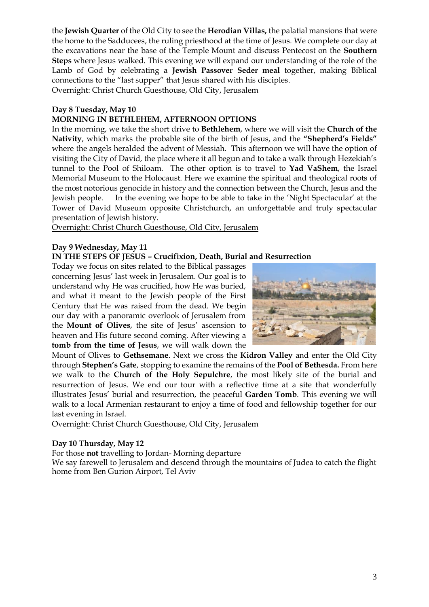the **Jewish Quarter** of the Old City to see the **Herodian Villas,** the palatial mansions that were the home to the Sadducees, the ruling priesthood at the time of Jesus. We complete our day at the excavations near the base of the Temple Mount and discuss Pentecost on the **Southern Steps** where Jesus walked. This evening we will expand our understanding of the role of the Lamb of God by celebrating a **Jewish Passover Seder meal** together, making Biblical connections to the "last supper" that Jesus shared with his disciples.

Overnight: Christ Church Guesthouse, Old City, Jerusalem

# **Day 8 Tuesday, May 10**

# **MORNING IN BETHLEHEM, AFTERNOON OPTIONS**

In the morning, we take the short drive to **Bethlehem**, where we will visit the **Church of the Nativity**, which marks the probable site of the birth of Jesus, and the **"Shepherd's Fields"** where the angels heralded the advent of Messiah. This afternoon we will have the option of visiting the City of David, the place where it all begun and to take a walk through Hezekiah's tunnel to the Pool of Shiloam. The other option is to travel to **Yad VaShem**, the Israel Memorial Museum to the Holocaust. Here we examine the spiritual and theological roots of the most notorious genocide in history and the connection between the Church, Jesus and the Jewish people. In the evening we hope to be able to take in the 'Night Spectacular' at the Tower of David Museum opposite Christchurch, an unforgettable and truly spectacular presentation of Jewish history.

Overnight: Christ Church Guesthouse, Old City, Jerusalem

## **Day 9 Wednesday, May 11**

#### **IN THE STEPS OF JESUS – Crucifixion, Death, Burial and Resurrection**

Today we focus on sites related to the Biblical passages concerning Jesus' last week in Jerusalem. Our goal is to understand why He was crucified, how He was buried, and what it meant to the Jewish people of the First Century that He was raised from the dead. We begin our day with a panoramic overlook of Jerusalem from the **Mount of Olives**, the site of Jesus' ascension to heaven and His future second coming. After viewing a **tomb from the time of Jesus**, we will walk down the



Mount of Olives to **Gethsemane**. Next we cross the **Kidron Valley** and enter the Old City through **Stephen's Gate**, stopping to examine the remains of the **Pool of Bethesda.** From here we walk to the **Church of the Holy Sepulchre**, the most likely site of the burial and resurrection of Jesus. We end our tour with a reflective time at a site that wonderfully illustrates Jesus' burial and resurrection, the peaceful **Garden Tomb**. This evening we will walk to a local Armenian restaurant to enjoy a time of food and fellowship together for our last evening in Israel.

Overnight: Christ Church Guesthouse, Old City, Jerusalem

## **Day 10 Thursday, May 12**

For those **not** travelling to Jordan- Morning departure

We say farewell to Jerusalem and descend through the mountains of Judea to catch the flight home from Ben Gurion Airport, Tel Aviv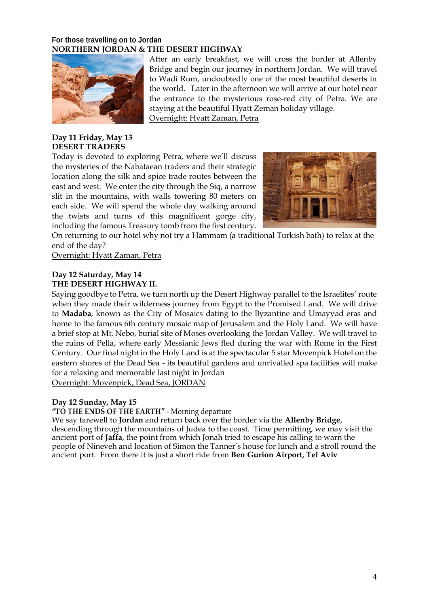## **For those travelling on to Jordan NORTHERN JORDAN & THE DESERT HIGHWAY**



# **Day 11 Friday, May 13 DESERT TRADERS**

Today is devoted to exploring Petra, where we'll discuss the mysteries of the Nabataean traders and their strategic location along the silk and spice trade routes between the east and west. We enter the city through the Siq, a narrow slit in the mountains, with walls towering 80 meters on each side. We will spend the whole day walking around the twists and turns of this magnificent gorge city, including the famous Treasury tomb from the first century.



After an early breakfast, we will cross the border at Allenby Bridge and begin our journey in northern Jordan. We will travel to Wadi Rum, undoubtedly one of the most beautiful deserts in the world. Later in the afternoon we will arrive at our hotel near the entrance to the mysterious rose-red city of Petra. We are

staying at the beautiful Hyatt Zeman holiday village.

On returning to our hotel why not try a Hammam (a traditional Turkish bath) to relax at the end of the day?

Overnight: Hyatt Zaman, Petra

Overnight: Hyatt Zaman, Petra

## **Day 12 Saturday, May 14 THE DESERT HIGHWAY II.**

Saying goodbye to Petra, we turn north up the Desert Highway parallel to the Israelites' route when they made their wilderness journey from Egypt to the Promised Land. We will drive to **Madaba**, known as the City of Mosaics dating to the Byzantine and Umayyad eras and home to the famous 6th century mosaic map of Jerusalem and the Holy Land. We will have a brief stop at Mt. Nebo, burial site of Moses overlooking the Jordan Valley. We will travel to the ruins of Pella, where early Messianic Jews fled during the war with Rome in the First Century. Our final night in the Holy Land is at the spectacular 5 star Movenpick Hotel on the eastern shores of the Dead Sea - its beautiful gardens and unrivalled spa facilities will make for a relaxing and memorable last night in Jordan Overnight: Movenpick, Dead Sea, JORDAN

## **Day 12 Sunday, May 15**

**"TO THE ENDS OF THE EARTH"** - Morning departure

We say farewell to **Jordan** and return back over the border via the **Allenby Bridge**, descending through the mountains of Judea to the coast. Time permitting, we may visit the ancient port of **Jaffa**, the point from which Jonah tried to escape his calling to warn the people of Nineveh and location of Simon the Tanner's house for lunch and a stroll round the ancient port. From there it is just a short ride from **Ben Gurion Airport, Tel Aviv**